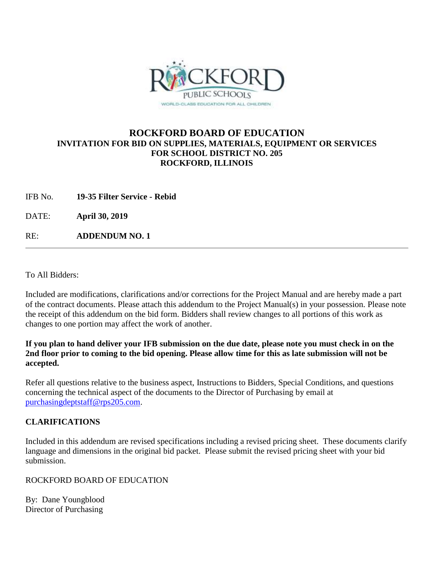

### **ROCKFORD BOARD OF EDUCATION INVITATION FOR BID ON SUPPLIES, MATERIALS, EQUIPMENT OR SERVICES FOR SCHOOL DISTRICT NO. 205 ROCKFORD, ILLINOIS**

IFB No. **19-35 Filter Service - Rebid**

DATE: **April 30, 2019**

RE: **ADDENDUM NO. 1**

To All Bidders:

Included are modifications, clarifications and/or corrections for the Project Manual and are hereby made a part of the contract documents. Please attach this addendum to the Project Manual(s) in your possession. Please note the receipt of this addendum on the bid form. Bidders shall review changes to all portions of this work as changes to one portion may affect the work of another.

#### **If you plan to hand deliver your IFB submission on the due date, please note you must check in on the 2nd floor prior to coming to the bid opening. Please allow time for this as late submission will not be accepted.**

Refer all questions relative to the business aspect, Instructions to Bidders, Special Conditions, and questions concerning the technical aspect of the documents to the Director of Purchasing by email at [purchasingdeptstaff@rps205.com.](mailto:purchasingdeptstaff@rps205.com)

## **CLARIFICATIONS**

Included in this addendum are revised specifications including a revised pricing sheet. These documents clarify language and dimensions in the original bid packet. Please submit the revised pricing sheet with your bid submission.

### ROCKFORD BOARD OF EDUCATION

By: Dane Youngblood Director of Purchasing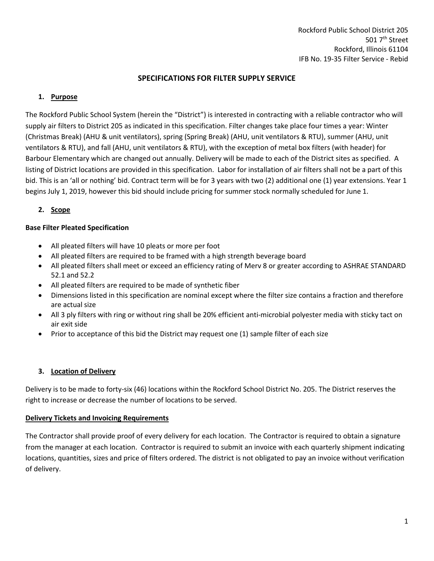#### **SPECIFICATIONS FOR FILTER SUPPLY SERVICE**

#### **1. Purpose**

The Rockford Public School System (herein the "District") is interested in contracting with a reliable contractor who will supply air filters to District 205 as indicated in this specification. Filter changes take place four times a year: Winter (Christmas Break) (AHU & unit ventilators), spring (Spring Break) (AHU, unit ventilators & RTU), summer (AHU, unit ventilators & RTU), and fall (AHU, unit ventilators & RTU), with the exception of metal box filters (with header) for Barbour Elementary which are changed out annually. Delivery will be made to each of the District sites as specified. A listing of District locations are provided in this specification. Labor for installation of air filters shall not be a part of this bid. This is an 'all or nothing' bid. Contract term will be for 3 years with two (2) additional one (1) year extensions. Year 1 begins July 1, 2019, however this bid should include pricing for summer stock normally scheduled for June 1.

#### **2. Scope**

#### **Base Filter Pleated Specification**

- All pleated filters will have 10 pleats or more per foot
- All pleated filters are required to be framed with a high strength beverage board
- All pleated filters shall meet or exceed an efficiency rating of Merv 8 or greater according to ASHRAE STANDARD 52.1 and 52.2
- All pleated filters are required to be made of synthetic fiber
- Dimensions listed in this specification are nominal except where the filter size contains a fraction and therefore are actual size
- All 3 ply filters with ring or without ring shall be 20% efficient anti-microbial polyester media with sticky tact on air exit side
- Prior to acceptance of this bid the District may request one (1) sample filter of each size

#### **3. Location of Delivery**

Delivery is to be made to forty-six (46) locations within the Rockford School District No. 205. The District reserves the right to increase or decrease the number of locations to be served.

#### **Delivery Tickets and Invoicing Requirements**

The Contractor shall provide proof of every delivery for each location. The Contractor is required to obtain a signature from the manager at each location. Contractor is required to submit an invoice with each quarterly shipment indicating locations, quantities, sizes and price of filters ordered. The district is not obligated to pay an invoice without verification of delivery.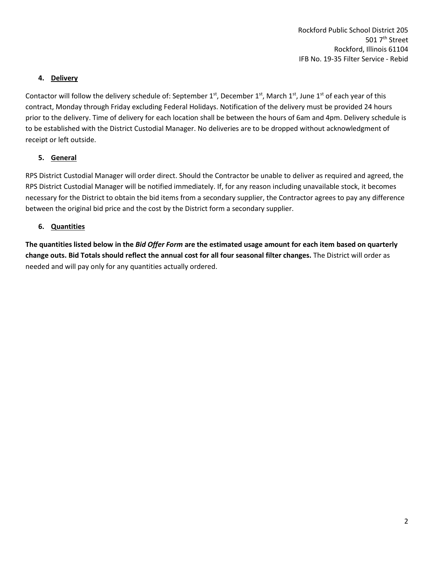#### **4. Delivery**

Contactor will follow the delivery schedule of: September  $1^{st}$ , December  $1^{st}$ , March  $1^{st}$ , June  $1^{st}$  of each year of this contract, Monday through Friday excluding Federal Holidays. Notification of the delivery must be provided 24 hours prior to the delivery. Time of delivery for each location shall be between the hours of 6am and 4pm. Delivery schedule is to be established with the District Custodial Manager. No deliveries are to be dropped without acknowledgment of receipt or left outside.

#### **5. General**

RPS District Custodial Manager will order direct. Should the Contractor be unable to deliver as required and agreed, the RPS District Custodial Manager will be notified immediately. If, for any reason including unavailable stock, it becomes necessary for the District to obtain the bid items from a secondary supplier, the Contractor agrees to pay any difference between the original bid price and the cost by the District form a secondary supplier.

### **6. Quantities**

**The quantities listed below in the** *Bid Offer Form* **are the estimated usage amount for each item based on quarterly change outs. Bid Totals should reflect the annual cost for all four seasonal filter changes.** The District will order as needed and will pay only for any quantities actually ordered.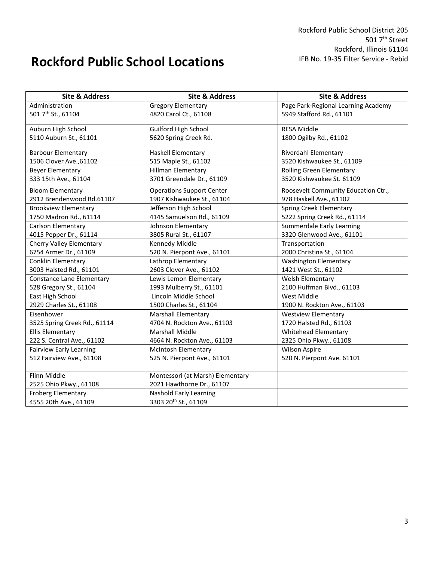# **Rockford Public School Locations**

| <b>Site &amp; Address</b>        | <b>Site &amp; Address</b>        | <b>Site &amp; Address</b>           |  |
|----------------------------------|----------------------------------|-------------------------------------|--|
| Administration                   | <b>Gregory Elementary</b>        | Page Park-Regional Learning Academy |  |
| 501 7th St., 61104               | 4820 Carol Ct., 61108            | 5949 Stafford Rd., 61101            |  |
| Auburn High School               | <b>Guilford High School</b>      | <b>RESA Middle</b>                  |  |
| 5110 Auburn St., 61101           | 5620 Spring Creek Rd.            | 1800 Ogilby Rd., 61102              |  |
| <b>Barbour Elementary</b>        | Haskell Elementary               | Riverdahl Elementary                |  |
| 1506 Clover Ave., 61102          | 515 Maple St., 61102             | 3520 Kishwaukee St., 61109          |  |
| <b>Beyer Elementary</b>          | <b>Hillman Elementary</b>        | <b>Rolling Green Elementary</b>     |  |
| 333 15th Ave., 61104             | 3701 Greendale Dr., 61109        | 3520 Kishwaukee St. 61109           |  |
| <b>Bloom Elementary</b>          | <b>Operations Support Center</b> | Roosevelt Community Education Ctr., |  |
| 2912 Brendenwood Rd.61107        | 1907 Kishwaukee St., 61104       | 978 Haskell Ave., 61102             |  |
| <b>Brookview Elementary</b>      | Jefferson High School            | <b>Spring Creek Elementary</b>      |  |
| 1750 Madron Rd., 61114           | 4145 Samuelson Rd., 61109        | 5222 Spring Creek Rd., 61114        |  |
| Carlson Elementary               | Johnson Elementary               | Summerdale Early Learning           |  |
| 4015 Pepper Dr., 61114           | 3805 Rural St., 61107            | 3320 Glenwood Ave., 61101           |  |
| Cherry Valley Elementary         | Kennedy Middle                   | Transportation                      |  |
| 6754 Armer Dr., 61109            | 520 N. Pierpont Ave., 61101      | 2000 Christina St., 61104           |  |
| Conklin Elementary               | Lathrop Elementary               | <b>Washington Elementary</b>        |  |
| 3003 Halsted Rd., 61101          | 2603 Clover Ave., 61102          | 1421 West St., 61102                |  |
| <b>Constance Lane Elementary</b> | Lewis Lemon Elementary           | Welsh Elementary                    |  |
| 528 Gregory St., 61104           | 1993 Mulberry St., 61101         | 2100 Huffman Blvd., 61103           |  |
| East High School                 | Lincoln Middle School            | West Middle                         |  |
| 2929 Charles St., 61108          | 1500 Charles St., 61104          | 1900 N. Rockton Ave., 61103         |  |
| Eisenhower                       | <b>Marshall Elementary</b>       | <b>Westview Elementary</b>          |  |
| 3525 Spring Creek Rd., 61114     | 4704 N. Rockton Ave., 61103      | 1720 Halsted Rd., 61103             |  |
| <b>Ellis Elementary</b>          | <b>Marshall Middle</b>           | Whitehead Elementary                |  |
| 222 S. Central Ave., 61102       | 4664 N. Rockton Ave., 61103      | 2325 Ohio Pkwy., 61108              |  |
| <b>Fairview Early Learning</b>   | <b>McIntosh Elementary</b>       | <b>Wilson Aspire</b>                |  |
| 512 Fairview Ave., 61108         | 525 N. Pierpont Ave., 61101      | 520 N. Pierpont Ave. 61101          |  |
| Flinn Middle                     | Montessori (at Marsh) Elementary |                                     |  |
| 2525 Ohio Pkwy., 61108           | 2021 Hawthorne Dr., 61107        |                                     |  |
| <b>Froberg Elementary</b>        | Nashold Early Learning           |                                     |  |
| 4555 20th Ave., 61109            | 3303 20th St., 61109             |                                     |  |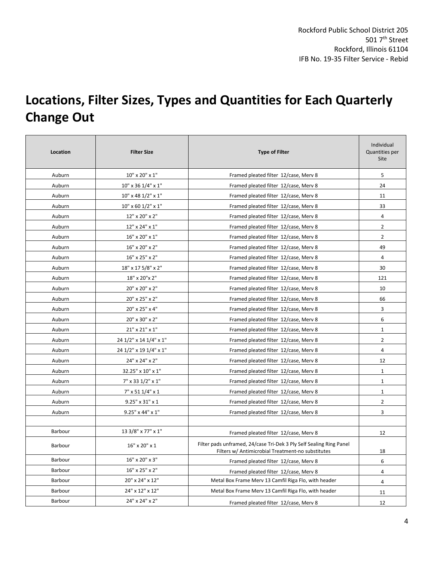# **Locations, Filter Sizes, Types and Quantities for Each Quarterly Change Out**

| Location | <b>Filter Size</b>          | <b>Type of Filter</b>                                                                                                    | Individual<br>Quantities per<br>Site |
|----------|-----------------------------|--------------------------------------------------------------------------------------------------------------------------|--------------------------------------|
| Auburn   | 10" x 20" x 1"              | Framed pleated filter 12/case, Merv 8                                                                                    | 5                                    |
| Auburn   | 10" x 36 1/4" x 1"          | Framed pleated filter 12/case, Merv 8                                                                                    | 24                                   |
| Auburn   | 10" x 48 1/2" x 1"          | Framed pleated filter 12/case, Merv 8                                                                                    | 11                                   |
| Auburn   | 10" x 60 1/2" x 1"          | Framed pleated filter 12/case, Merv 8                                                                                    | 33                                   |
| Auburn   | 12" x 20" x 2"              | Framed pleated filter 12/case, Merv 8                                                                                    | 4                                    |
| Auburn   | 12" x 24" x 1"              | Framed pleated filter 12/case, Merv 8                                                                                    | $\overline{2}$                       |
| Auburn   | 16" x 20" x 1"              | Framed pleated filter 12/case, Merv 8                                                                                    | $\overline{2}$                       |
| Auburn   | 16" x 20" x 2"              | Framed pleated filter 12/case, Merv 8                                                                                    | 49                                   |
| Auburn   | 16" x 25" x 2"              | Framed pleated filter 12/case, Merv 8                                                                                    | 4                                    |
| Auburn   | 18" x 17 5/8" x 2"          | Framed pleated filter 12/case, Merv 8                                                                                    | 30                                   |
| Auburn   | 18" x 20" x 2"              | Framed pleated filter 12/case, Merv 8                                                                                    | 121                                  |
| Auburn   | 20" x 20" x 2"              | Framed pleated filter 12/case, Merv 8                                                                                    | 10                                   |
| Auburn   | 20" x 25" x 2"              | Framed pleated filter 12/case, Merv 8                                                                                    | 66                                   |
| Auburn   | 20" x 25" x 4"              | Framed pleated filter 12/case, Merv 8                                                                                    | 3                                    |
| Auburn   | 20" x 30" x 2"              | Framed pleated filter 12/case, Merv 8                                                                                    |                                      |
| Auburn   | 21" x 21" x 1"              | Framed pleated filter 12/case, Merv 8                                                                                    | $\mathbf 1$                          |
| Auburn   | 24 1/2" x 14 1/4" x 1"      | Framed pleated filter 12/case, Merv 8                                                                                    | $\overline{2}$                       |
| Auburn   | 24 1/2" x 19 1/4" x 1"      | Framed pleated filter 12/case, Merv 8                                                                                    | 4                                    |
| Auburn   | 24" x 24" x 2"              | Framed pleated filter 12/case, Merv 8                                                                                    | 12                                   |
| Auburn   | 32.25" x 10" x 1"           | Framed pleated filter 12/case, Merv 8                                                                                    | $\mathbf{1}$                         |
| Auburn   | 7" x 33 1/2" x 1"           | Framed pleated filter 12/case, Merv 8                                                                                    | $\mathbf{1}$                         |
| Auburn   | 7" x 51 1/4" x 1            | Framed pleated filter 12/case, Merv 8                                                                                    | $\mathbf{1}$                         |
| Auburn   | $9.25" \times 31" \times 1$ | Framed pleated filter 12/case, Merv 8                                                                                    | $\overline{2}$                       |
| Auburn   | 9.25" x 44" x 1"            | Framed pleated filter 12/case, Merv 8                                                                                    | 3                                    |
|          |                             |                                                                                                                          |                                      |
| Barbour  | 13 3/8" x 77" x 1"          | Framed pleated filter 12/case, Merv 8                                                                                    | 12                                   |
| Barbour  | 16" x 20" x 1               | Filter pads unframed, 24/case Tri-Dek 3 Ply Self Sealing Ring Panel<br>Filters w/ Antimicrobial Treatment-no substitutes | 18                                   |
| Barbour  | 16" x 20" x 3"              | Framed pleated filter 12/case, Merv 8                                                                                    | 6                                    |
| Barbour  | 16" x 25" x 2"              | Framed pleated filter 12/case, Merv 8                                                                                    | 4                                    |
| Barbour  | 20" x 24" x 12"             | Metal Box Frame Merv 13 Camfil Riga Flo, with header                                                                     | 4                                    |
| Barbour  | 24" x 12" x 12"             | Metal Box Frame Merv 13 Camfil Riga Flo, with header                                                                     | 11                                   |
| Barbour  | 24" x 24" x 2"              | Framed pleated filter 12/case, Merv 8                                                                                    | 12                                   |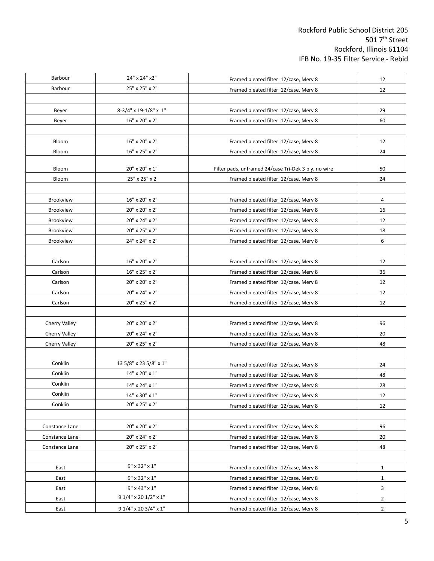| Barbour              | 24" x 24" x2"          | Framed pleated filter 12/case, Merv 8                | 12             |
|----------------------|------------------------|------------------------------------------------------|----------------|
| Barbour              | 25" x 25" x 2"         | Framed pleated filter 12/case, Merv 8                | 12             |
|                      |                        |                                                      |                |
| Beyer                | 8-3/4" x 19-1/8" x 1"  | Framed pleated filter 12/case, Merv 8                | 29             |
| Beyer                | 16" x 20" x 2"         | Framed pleated filter 12/case, Merv 8                | 60             |
|                      |                        |                                                      |                |
| Bloom                | 16" x 20" x 2"         | Framed pleated filter 12/case, Merv 8                | 12             |
| Bloom                | 16" x 25" x 2"         | Framed pleated filter 12/case, Merv 8                | 24             |
|                      |                        |                                                      |                |
| Bloom                | 20" x 20" x 1"         | Filter pads, unframed 24/case Tri-Dek 3 ply, no wire | 50             |
| Bloom                | 25" x 25" x 2          | Framed pleated filter 12/case, Merv 8                | 24             |
| <b>Brookview</b>     | 16" x 20" x 2"         | Framed pleated filter 12/case, Merv 8                | 4              |
| Brookview            | 20" x 20" x 2"         | Framed pleated filter 12/case, Merv 8                | 16             |
| Brookview            | 20" x 24" x 2"         | Framed pleated filter 12/case, Merv 8                | 12             |
| Brookview            | 20" x 25" x 2"         | Framed pleated filter 12/case, Merv 8                | 18             |
| Brookview            | 24" x 24" x 2"         | Framed pleated filter 12/case, Merv 8                | 6              |
|                      |                        |                                                      |                |
| Carlson              | 16" x 20" x 2"         | Framed pleated filter 12/case, Merv 8                | 12             |
| Carlson              | 16" x 25" x 2"         | Framed pleated filter 12/case, Merv 8                | 36             |
| Carlson              | 20" x 20" x 2"         | Framed pleated filter 12/case, Merv 8                | 12             |
| Carlson              | 20" x 24" x 2"         | Framed pleated filter 12/case, Merv 8                | 12             |
| Carlson              | 20" x 25" x 2"         | Framed pleated filter 12/case, Merv 8                | 12             |
|                      |                        |                                                      |                |
| Cherry Valley        | 20" x 20" x 2"         | Framed pleated filter 12/case, Merv 8                | 96             |
| <b>Cherry Valley</b> | 20" x 24" x 2"         | Framed pleated filter 12/case, Merv 8                | 20             |
| Cherry Valley        | 20" x 25" x 2"         | Framed pleated filter 12/case, Merv 8                | 48             |
|                      |                        |                                                      |                |
| Conklin              | 13 5/8" x 23 5/8" x 1" | Framed pleated filter 12/case, Merv 8                | 24             |
| Conklin              | 14" x 20" x 1"         | Framed pleated filter 12/case, Merv 8                | 48             |
| Conklin              | 14" x 24" x 1"         | Framed pleated filter 12/case, Merv 8                | 28             |
| Conklin              | 14" x 30" x 1"         | Framed pleated filter 12/case, Merv 8                | 12             |
| Conklin              | 20" x 25" x 2"         | Framed pleated filter 12/case, Merv 8                | 12             |
|                      |                        |                                                      |                |
| Constance Lane       | 20" x 20" x 2"         | Framed pleated filter 12/case, Merv 8                | 96             |
| Constance Lane       | 20" x 24" x 2"         | Framed pleated filter 12/case, Merv 8                | 20             |
| Constance Lane       | 20" x 25" x 2"         | Framed pleated filter 12/case, Merv 8                | 48             |
|                      |                        |                                                      |                |
| East                 | 9" x 32" x 1"          | Framed pleated filter 12/case, Merv 8                | 1              |
| East                 | 9" x 32" x 1"          | Framed pleated filter 12/case, Merv 8                | $\mathbf{1}$   |
| East                 | 9" x 43" x 1"          | Framed pleated filter 12/case, Merv 8                | 3              |
| East                 | 9 1/4" x 20 1/2" x 1"  | Framed pleated filter 12/case, Merv 8                | $\overline{2}$ |
| East                 | 9 1/4" x 20 3/4" x 1"  | Framed pleated filter 12/case, Merv 8                | $\overline{2}$ |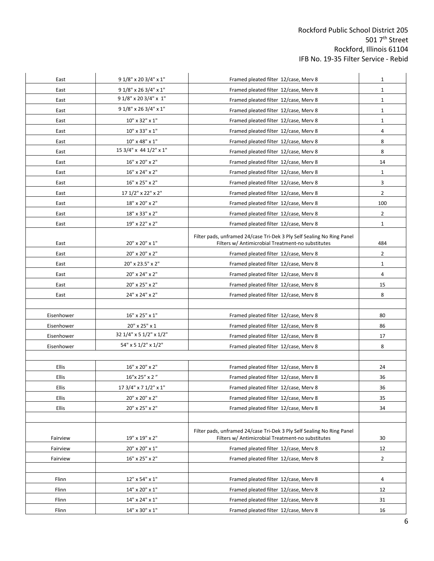| East       | 9 1/8" x 20 3/4" x 1"<br>Framed pleated filter 12/case, Merv 8 |                                                                        | $\mathbf{1}$   |
|------------|----------------------------------------------------------------|------------------------------------------------------------------------|----------------|
| East       | $91/8$ " x 26 3/4" x 1"                                        | Framed pleated filter 12/case, Merv 8                                  | $\mathbf{1}$   |
| East       | 9 1/8" x 20 3/4" x 1"                                          | Framed pleated filter 12/case, Merv 8                                  | $\mathbf{1}$   |
| East       | $91/8$ " x 26 3/4" x 1"                                        | Framed pleated filter 12/case, Merv 8                                  | $\mathbf{1}$   |
| East       | 10" x 32" x 1"<br>Framed pleated filter 12/case, Merv 8        |                                                                        | $\mathbf 1$    |
| East       | 10" x 33" x 1"                                                 | Framed pleated filter 12/case, Merv 8                                  | 4              |
| East       | 10" x 48" x 1"                                                 | Framed pleated filter 12/case, Merv 8                                  | 8              |
| East       | 15 3/4" x 44 1/2" x 1"                                         | Framed pleated filter 12/case, Merv 8                                  | 8              |
| East       | 16" x 20" x 2"                                                 | Framed pleated filter 12/case, Merv 8                                  | 14             |
| East       | 16" x 24" x 2"                                                 | Framed pleated filter 12/case, Merv 8                                  | $\mathbf{1}$   |
| East       | 16" x 25" x 2"                                                 | Framed pleated filter 12/case, Merv 8                                  | 3              |
| East       | 17 1/2" x 22" x 2"                                             | Framed pleated filter 12/case, Merv 8                                  | $\overline{2}$ |
| East       | 18" x 20" x 2"                                                 | Framed pleated filter 12/case, Merv 8                                  | 100            |
| East       | 18" x 33" x 2"                                                 | Framed pleated filter 12/case, Merv 8                                  | $\overline{2}$ |
| East       | 19" x 22" x 2"                                                 | Framed pleated filter 12/case, Merv 8                                  | $\mathbf{1}$   |
|            |                                                                | Filter pads, unframed 24/case Tri-Dek 3 Ply Self Sealing No Ring Panel |                |
| East       | 20" x 20" x 1"                                                 | Filters w/ Antimicrobial Treatment-no substitutes                      | 484            |
| East       | 20" x 20" x 2"                                                 | Framed pleated filter 12/case, Merv 8                                  | $\overline{2}$ |
| East       | 20" x 23.5" x 2"                                               | Framed pleated filter 12/case, Merv 8                                  | $\mathbf{1}$   |
| East       | 20" x 24" x 2"                                                 | Framed pleated filter 12/case, Merv 8                                  | 4              |
| East       | 20" x 25" x 2"                                                 | Framed pleated filter 12/case, Merv 8                                  | 15             |
| East       | 24" x 24" x 2"                                                 | Framed pleated filter 12/case, Merv 8                                  | 8              |
|            |                                                                |                                                                        |                |
| Eisenhower | 16" x 25" x 1"                                                 | Framed pleated filter 12/case, Merv 8                                  | 80             |
| Eisenhower | 20" x 25" x 1                                                  | Framed pleated filter 12/case, Merv 8                                  | 86             |
| Eisenhower | 32 1/4" x 5 1/2" x 1/2"                                        | Framed pleated filter 12/case, Merv 8                                  | 17             |
| Eisenhower | 54" x 5 1/2" x 1/2"                                            | Framed pleated filter 12/case, Merv 8                                  | 8              |
|            |                                                                |                                                                        |                |
| Ellis      | 16" x 20" x 2"                                                 | Framed pleated filter 12/case, Merv 8                                  | 24             |
| Ellis      | 16"x 25" x 2"                                                  | Framed pleated filter 12/case, Merv 8                                  | 36             |
| Ellis      | 17 3/4" x 7 1/2" x 1"                                          | Framed pleated filter 12/case, Merv 8                                  | 36             |
| Ellis      | 20" x 20" x 2"                                                 | Framed pleated filter 12/case, Merv 8                                  | 35             |
| Ellis      | 20" x 25" x 2"                                                 | Framed pleated filter 12/case, Merv 8                                  | 34             |
|            |                                                                |                                                                        |                |
|            |                                                                | Filter pads, unframed 24/case Tri-Dek 3 Ply Self Sealing No Ring Panel |                |
| Fairview   | 19" x 19" x 2"                                                 | Filters w/ Antimicrobial Treatment-no substitutes                      | 30             |
| Fairview   | 20" x 20" x 1"                                                 | Framed pleated filter 12/case, Merv 8                                  | 12             |
| Fairview   | 16" x 25" x 2"                                                 | Framed pleated filter 12/case, Merv 8                                  | $\overline{2}$ |
|            |                                                                |                                                                        |                |
| Flinn      | 12" x 54" x 1"                                                 | Framed pleated filter 12/case, Merv 8                                  | 4              |
| Flinn      | 14" x 20" x 1"                                                 | Framed pleated filter 12/case, Merv 8                                  | 12             |
| Flinn      | $14" \times 24" \times 1"$                                     | Framed pleated filter 12/case, Merv 8                                  | 31             |
| Flinn      | $14" \times 30" \times 1"$                                     | Framed pleated filter 12/case, Merv 8                                  | 16             |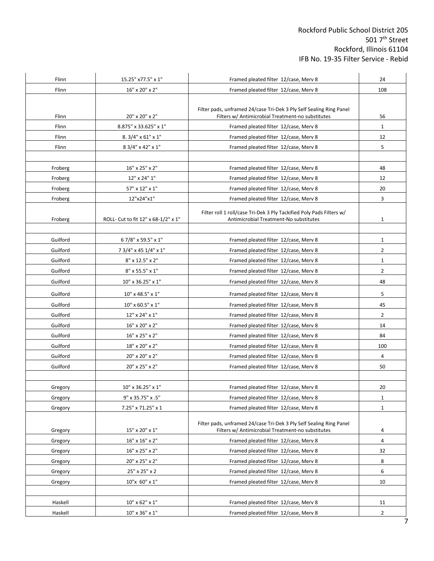| Flinn    | 15.25" x77.5" x 1"                  | Framed pleated filter 12/case, Merv 8                                                                          | 24                   |
|----------|-------------------------------------|----------------------------------------------------------------------------------------------------------------|----------------------|
| Flinn    | 16" x 20" x 2"                      | Framed pleated filter 12/case, Merv 8                                                                          | 108                  |
|          |                                     |                                                                                                                |                      |
|          |                                     | Filter pads, unframed 24/case Tri-Dek 3 Ply Self Sealing Ring Panel                                            |                      |
| Flinn    | 20" x 20" x 2"                      | Filters w/ Antimicrobial Treatment-no substitutes                                                              | 56                   |
| Flinn    | 8.875" x 33.625" x 1"               | Framed pleated filter 12/case, Merv 8                                                                          | $\mathbf{1}$         |
| Flinn    | $8.3/4" \times 61" \times 1"$       | Framed pleated filter 12/case, Merv 8                                                                          | 12                   |
| Flinn    | 8 3/4" x 42" x 1"                   | Framed pleated filter 12/case, Merv 8                                                                          | 5                    |
|          |                                     |                                                                                                                |                      |
| Froberg  | 16" x 25" x 2"                      | Framed pleated filter 12/case, Merv 8                                                                          | 48                   |
| Froberg  | 12" x 24" 1"                        | Framed pleated filter 12/case, Merv 8                                                                          | 12                   |
| Froberg  | 57" x 12" x 1"                      | Framed pleated filter 12/case, Merv 8                                                                          | 20                   |
| Froberg  | 12"x24"x1"                          | Framed pleated filter 12/case, Merv 8                                                                          | 3                    |
| Froberg  | ROLL- Cut to fit 12" x 68-1/2" x 1" | Filter roll 1 roll/case Tri-Dek 3 Ply Tackified Poly Pads Filters w/<br>Antimicrobial Treatment-No substitutes | $\mathbf 1$          |
| Guilford | 67/8" x 59.5" x 1"                  | Framed pleated filter 12/case, Merv 8                                                                          | 1                    |
| Guilford | 7 3/4" x 45 1/4" x 1"               | Framed pleated filter 12/case, Merv 8                                                                          | $\overline{2}$       |
| Guilford | $8"$ x 12.5" x 2"                   | Framed pleated filter 12/case, Merv 8                                                                          | $\mathbf{1}$         |
| Guilford | 8" x 55.5" x 1"                     | Framed pleated filter 12/case, Merv 8                                                                          | $\overline{2}$       |
| Guilford | 10" x 36.25" x 1"                   | Framed pleated filter 12/case, Merv 8                                                                          | 48                   |
|          |                                     |                                                                                                                |                      |
| Guilford | 10" x 48.5" x 1"                    | Framed pleated filter 12/case, Merv 8                                                                          | 5                    |
| Guilford | $10"$ x 60.5" x 1"                  | Framed pleated filter 12/case, Merv 8                                                                          | 45<br>$\overline{2}$ |
| Guilford | 12" x 24" x 1"                      | Framed pleated filter 12/case, Merv 8                                                                          |                      |
| Guilford | 16" x 20" x 2"                      | Framed pleated filter 12/case, Merv 8                                                                          | 14                   |
| Guilford | 16" x 25" x 2"                      | Framed pleated filter 12/case, Merv 8                                                                          | 84                   |
| Guilford | 18" x 20" x 2"                      | Framed pleated filter 12/case, Merv 8                                                                          | 100                  |
| Guilford | 20" x 20" x 2"                      | Framed pleated filter 12/case, Merv 8                                                                          | 4                    |
| Guilford | 20" x 25" x 2"                      | Framed pleated filter 12/case, Merv 8                                                                          | 50                   |
|          |                                     |                                                                                                                |                      |
| Gregory  | 10" x 36.25" x 1"                   | Framed pleated filter 12/case, Merv 8                                                                          | 20                   |
| Gregory  | 9" x 35.75" x .5"                   | Framed pleated filter 12/case, Merv 8                                                                          | $\mathbf{1}$         |
| Gregory  | 7.25" x 71.25" x 1                  | Framed pleated filter 12/case, Merv 8                                                                          | $\mathbf{1}$         |
|          |                                     | Filter pads, unframed 24/case Tri-Dek 3 Ply Self Sealing Ring Panel                                            |                      |
| Gregory  | 15" x 20" x 1"                      | Filters w/ Antimicrobial Treatment-no substitutes                                                              | 4                    |
| Gregory  | $16"$ x $16"$ x $2"$                | Framed pleated filter 12/case, Merv 8                                                                          | 4                    |
| Gregory  | 16" x 25" x 2"                      | Framed pleated filter 12/case, Merv 8                                                                          | 32                   |
| Gregory  | 20" x 25" x 2"                      | Framed pleated filter 12/case, Merv 8                                                                          | 8                    |
| Gregory  | 25" x 25" x 2                       | Framed pleated filter 12/case, Merv 8                                                                          | 6                    |
| Gregory  | 10"x 60" x 1"                       | Framed pleated filter 12/case, Merv 8                                                                          | 10                   |
|          |                                     |                                                                                                                |                      |
| Haskell  | $10" \times 62" \times 1"$          | Framed pleated filter 12/case, Merv 8                                                                          | 11                   |
| Haskell  | $10" \times 36" \times 1"$          | Framed pleated filter 12/case, Merv 8                                                                          | $\overline{2}$       |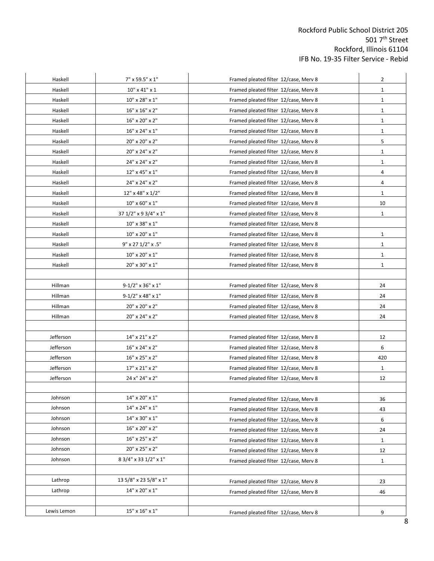| Haskell     | 7" x 59.5" x 1"                                         | Framed pleated filter 12/case, Merv 8 |              |
|-------------|---------------------------------------------------------|---------------------------------------|--------------|
| Haskell     | $10" \times 41" \times 1$                               | Framed pleated filter 12/case, Merv 8 |              |
| Haskell     | 10" x 28" x 1"                                          | Framed pleated filter 12/case, Merv 8 | $\mathbf{1}$ |
| Haskell     | $16"$ x $16"$ x $2"$                                    | Framed pleated filter 12/case, Merv 8 | $\mathbf{1}$ |
| Haskell     | 16" x 20" x 2"<br>Framed pleated filter 12/case, Merv 8 |                                       | $\mathbf 1$  |
| Haskell     | 16" x 24" x 1"                                          | Framed pleated filter 12/case, Merv 8 | $\mathbf{1}$ |
| Haskell     | 20" x 20" x 2"                                          | Framed pleated filter 12/case, Merv 8 | 5            |
| Haskell     | 20" x 24" x 2"                                          | Framed pleated filter 12/case, Merv 8 | $\mathbf 1$  |
| Haskell     | 24" x 24" x 2"                                          | Framed pleated filter 12/case, Merv 8 | $\mathbf{1}$ |
| Haskell     | 12" x 45" x 1"                                          | Framed pleated filter 12/case, Merv 8 | 4            |
| Haskell     | 24" x 24" x 2"                                          | Framed pleated filter 12/case, Merv 8 | 4            |
| Haskell     | 12" x 48" x 1/2"                                        | Framed pleated filter 12/case, Merv 8 | $\mathbf{1}$ |
| Haskell     | $10" \times 60" \times 1"$                              | Framed pleated filter 12/case, Merv 8 | 10           |
| Haskell     | 37 1/2" x 9 3/4" x 1"                                   | Framed pleated filter 12/case, Merv 8 | $\mathbf{1}$ |
| Haskell     | 10" x 38" x 1"                                          | Framed pleated filter 12/case, Merv 8 |              |
| Haskell     | 10" x 20" x 1"                                          | Framed pleated filter 12/case, Merv 8 | $\mathbf{1}$ |
| Haskell     | 9" x 27 1/2" x .5"                                      | Framed pleated filter 12/case, Merv 8 | $\mathbf{1}$ |
| Haskell     | $10^{\rm o}$ x $20^{\rm o}$ x $1^{\rm o}$               | Framed pleated filter 12/case, Merv 8 | $\mathbf{1}$ |
| Haskell     | 20" x 30" x 1"                                          | Framed pleated filter 12/case, Merv 8 | $\mathbf{1}$ |
|             |                                                         |                                       |              |
| Hillman     | $9 - 1/2$ " x 36" x 1"                                  | Framed pleated filter 12/case, Merv 8 | 24           |
| Hillman     | $9-1/2$ " x 48" x 1"                                    | Framed pleated filter 12/case, Merv 8 | 24           |
| Hillman     | 20" x 20" x 2"                                          | Framed pleated filter 12/case, Merv 8 | 24           |
| Hillman     | 20" x 24" x 2"                                          | Framed pleated filter 12/case, Merv 8 | 24           |
|             |                                                         |                                       |              |
| Jefferson   | 14" x 21" x 2"                                          | Framed pleated filter 12/case, Merv 8 | 12           |
| Jefferson   | 16" x 24" x 2"                                          | Framed pleated filter 12/case, Merv 8 | 6            |
| Jefferson   | 16" x 25" x 2"                                          | Framed pleated filter 12/case, Merv 8 | 420          |
| Jefferson   | 17" x 21" x 2"                                          | Framed pleated filter 12/case, Merv 8 | $\mathbf{1}$ |
| Jefferson   | 24 x" 24" x 2"                                          | Framed pleated filter 12/case, Merv 8 | 12           |
|             |                                                         |                                       |              |
| Johnson     | 14" x 20" x 1"                                          | Framed pleated filter 12/case, Merv 8 | 36           |
| Johnson     | $14" \times 24" \times 1"$                              | Framed pleated filter 12/case, Merv 8 | 43           |
| Johnson     | 14" x 30" x 1"                                          | Framed pleated filter 12/case, Merv 8 | 6            |
| Johnson     | 16" x 20" x 2"                                          | Framed pleated filter 12/case, Merv 8 | 24           |
| Johnson     | 16" x 25" x 2"                                          | Framed pleated filter 12/case, Merv 8 | $\mathbf{1}$ |
| Johnson     | 20" x 25" x 2"                                          | Framed pleated filter 12/case, Merv 8 | 12           |
| Johnson     | 8 3/4" x 33 1/2" x 1"                                   | Framed pleated filter 12/case, Merv 8 | $\mathbf{1}$ |
|             |                                                         |                                       |              |
| Lathrop     | 13 5/8" x 23 5/8" x 1"                                  | Framed pleated filter 12/case, Merv 8 | 23           |
| Lathrop     | 14" x 20" x 1"                                          | Framed pleated filter 12/case, Merv 8 | 46           |
|             |                                                         |                                       |              |
| Lewis Lemon | 15" x 16" x 1"                                          | Framed pleated filter 12/case, Merv 8 | 9            |
|             |                                                         |                                       |              |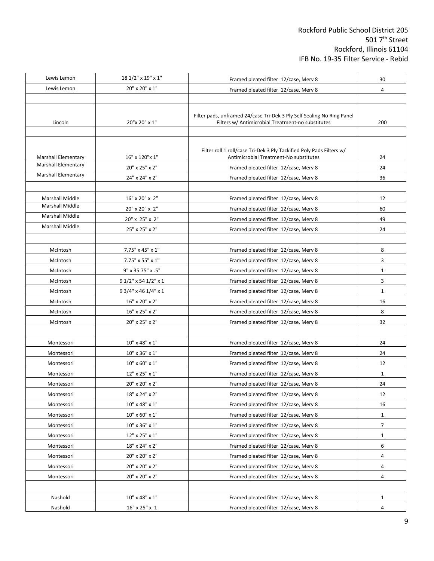| Lewis Lemon                                              | 18 1/2" x 19" x 1"               | Framed pleated filter 12/case, Merv 8                                                                                       | 30           |
|----------------------------------------------------------|----------------------------------|-----------------------------------------------------------------------------------------------------------------------------|--------------|
| Lewis Lemon                                              | 20" x 20" x 1"                   | Framed pleated filter 12/case, Merv 8                                                                                       | 4            |
|                                                          |                                  |                                                                                                                             |              |
|                                                          |                                  |                                                                                                                             |              |
| Lincoln                                                  | 20"x 20" x 1"                    | Filter pads, unframed 24/case Tri-Dek 3 Ply Self Sealing No Ring Panel<br>Filters w/ Antimicrobial Treatment-no substitutes | 200          |
|                                                          |                                  |                                                                                                                             |              |
|                                                          |                                  |                                                                                                                             |              |
|                                                          |                                  | Filter roll 1 roll/case Tri-Dek 3 Ply Tackified Poly Pads Filters w/                                                        |              |
| <b>Marshall Elementary</b><br><b>Marshall Elementary</b> | 16" x 120" x 1"                  | Antimicrobial Treatment-No substitutes                                                                                      | 24           |
| <b>Marshall Elementary</b>                               | 20" x 25" x 2"                   | Framed pleated filter 12/case, Merv 8                                                                                       | 24           |
|                                                          | 24" x 24" x 2"                   | Framed pleated filter 12/case, Merv 8                                                                                       | 36           |
|                                                          |                                  |                                                                                                                             |              |
| <b>Marshall Middle</b><br><b>Marshall Middle</b>         | 16" x 20" x 2"                   | Framed pleated filter 12/case, Merv 8                                                                                       | 12           |
| <b>Marshall Middle</b>                                   | 20" x 20" x 2"                   | Framed pleated filter 12/case, Merv 8                                                                                       | 60           |
| Marshall Middle                                          | 20" x 25" x 2"                   | Framed pleated filter 12/case, Merv 8                                                                                       | 49           |
|                                                          | 25" x 25" x 2"                   | Framed pleated filter 12/case, Merv 8                                                                                       | 24           |
| McIntosh                                                 | $7.75" \times 45" \times 1"$     | Framed pleated filter 12/case, Merv 8                                                                                       | 8            |
| McIntosh                                                 | 7.75" x 55" x 1"                 | Framed pleated filter 12/case, Merv 8                                                                                       | 3            |
| McIntosh                                                 | 9" x 35.75" x .5"                | Framed pleated filter 12/case, Merv 8                                                                                       | $\mathbf 1$  |
| McIntosh                                                 | 9 1/2" x 54 1/2" x 1             | Framed pleated filter 12/case, Merv 8                                                                                       | 3            |
| McIntosh                                                 | 9 3/4" x 46 1/4" x 1             | Framed pleated filter 12/case, Merv 8                                                                                       | $\mathbf{1}$ |
| McIntosh                                                 | 16" x 20" x 2"                   | Framed pleated filter 12/case, Merv 8                                                                                       | 16           |
| McIntosh                                                 | 16" x 25" x 2"                   | Framed pleated filter 12/case, Merv 8                                                                                       | 8            |
| McIntosh                                                 | 20" x 25" x 2"                   | Framed pleated filter 12/case, Merv 8                                                                                       | 32           |
|                                                          |                                  |                                                                                                                             |              |
| Montessori                                               | 10" x 48" x 1"                   | Framed pleated filter 12/case, Merv 8                                                                                       | 24           |
| Montessori                                               | 10" x 36" x 1"                   | Framed pleated filter 12/case, Merv 8                                                                                       | 24           |
| Montessori                                               | $10" \times 60" \times 1"$       | Framed pleated filter 12/case, Merv 8                                                                                       | 12           |
| Montessori                                               | 12" x 25" x 1"                   | Framed pleated filter 12/case, Merv 8                                                                                       | $\mathbf{1}$ |
| Montessori                                               | 20" x 20" x 2"                   | Framed pleated filter 12/case, Merv 8                                                                                       | 24           |
| Montessori                                               | 18" x 24" x 2"                   | Framed pleated filter 12/case, Merv 8                                                                                       | 12           |
| Montessori                                               | $10" \times 48" \times 1"$       | Framed pleated filter 12/case, Merv 8                                                                                       | 16           |
| Montessori                                               | 10" x 60" x 1"                   | Framed pleated filter 12/case, Merv 8                                                                                       | 1            |
| Montessori                                               | 10" x 36" x 1"                   | Framed pleated filter 12/case, Merv 8                                                                                       | 7            |
| Montessori                                               | 12" x 25" x 1"                   | Framed pleated filter 12/case, Merv 8                                                                                       | $\mathbf{1}$ |
| Montessori                                               | 18" x 24" x 2"                   | Framed pleated filter 12/case, Merv 8                                                                                       | 6            |
| Montessori                                               | 20" x 20" x 2"                   | Framed pleated filter 12/case, Merv 8                                                                                       | 4            |
| Montessori                                               | 20" x 20" x 2"                   | Framed pleated filter 12/case, Merv 8                                                                                       | 4            |
| Montessori                                               | 20" x 20" x 2"                   | Framed pleated filter 12/case, Merv 8                                                                                       | 4            |
|                                                          |                                  |                                                                                                                             |              |
| Nashold                                                  | $10^{\rm o}$ x 48" x $1^{\rm o}$ | Framed pleated filter 12/case, Merv 8                                                                                       | $\mathbf{1}$ |
| Nashold                                                  | 16" x 25" x 1                    | Framed pleated filter 12/case, Merv 8                                                                                       | 4            |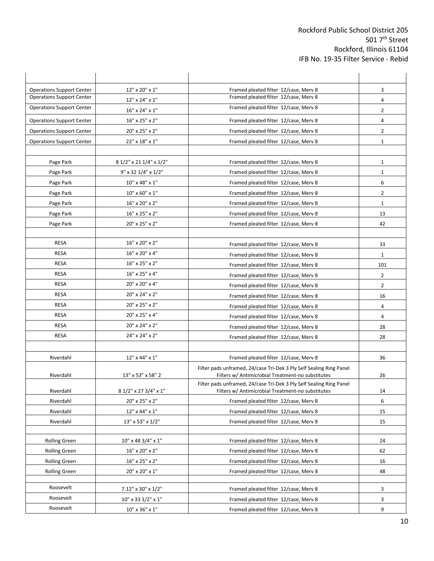| <b>Operations Support Center</b> | 12" x 20" x 1"              | Framed pleated filter 12/case, Merv 8                                                                                    | 3              |
|----------------------------------|-----------------------------|--------------------------------------------------------------------------------------------------------------------------|----------------|
| <b>Operations Support Center</b> | 12" x 24" x 1"              | Framed pleated filter 12/case, Merv 8                                                                                    | 4              |
| <b>Operations Support Center</b> | 16" x 24" x 1"              | Framed pleated filter 12/case, Merv 8                                                                                    | $\overline{2}$ |
| <b>Operations Support Center</b> | 16" x 25" x 2"              | Framed pleated filter 12/case, Merv 8                                                                                    | 4              |
| <b>Operations Support Center</b> | 20" x 25" x 2"              | Framed pleated filter 12/case, Merv 8                                                                                    | $\overline{2}$ |
| <b>Operations Support Center</b> | 22" x 18" x 1"              | Framed pleated filter 12/case, Merv 8                                                                                    | $\mathbf 1$    |
|                                  |                             |                                                                                                                          |                |
| Page Park                        | 8 1/2" x 21 1/4" x 1/2"     | Framed pleated filter 12/case, Merv 8                                                                                    | $\mathbf{1}$   |
| Page Park                        | $9''$ x 32 1/4" x 1/2"      | Framed pleated filter 12/case, Merv 8                                                                                    | $\mathbf{1}$   |
| Page Park                        | $10''$ x 48" x 1"           | Framed pleated filter 12/case, Merv 8                                                                                    | 6              |
| Page Park                        | $10" \times 60" \times 1"$  | Framed pleated filter 12/case, Merv 8                                                                                    | $\overline{2}$ |
| Page Park                        | 16" x 20" x 2"              | Framed pleated filter 12/case, Merv 8                                                                                    | $\mathbf{1}$   |
| Page Park                        | 16" x 25" x 2"              | Framed pleated filter 12/case, Merv 8                                                                                    | 13             |
| Page Park                        | 20" x 25" x 2"              | Framed pleated filter 12/case, Merv 8                                                                                    | 42             |
|                                  |                             |                                                                                                                          |                |
| <b>RESA</b>                      | 16" x 20" x 2"              | Framed pleated filter 12/case, Merv 8                                                                                    | 33             |
| <b>RESA</b>                      | 16" x 20" x 4"              | Framed pleated filter 12/case, Merv 8                                                                                    | 1              |
| <b>RESA</b>                      | 16" x 25" x 2"              | Framed pleated filter 12/case, Merv 8                                                                                    | 101            |
| <b>RESA</b>                      | 16" x 25" x 4"              | Framed pleated filter 12/case, Merv 8                                                                                    | $\overline{2}$ |
| <b>RESA</b>                      | 20" x 20" x 4"              | Framed pleated filter 12/case, Merv 8                                                                                    | $\overline{2}$ |
| <b>RESA</b>                      | 20" x 24" x 2"              | Framed pleated filter 12/case, Merv 8                                                                                    | 16             |
| <b>RESA</b>                      | 20" x 25" x 2"              | Framed pleated filter 12/case, Merv 8                                                                                    | 4              |
| RESA                             | 20" x 25" x 4"              | Framed pleated filter 12/case, Merv 8                                                                                    | 4              |
| <b>RESA</b>                      | 20" x 24" x 2"              | Framed pleated filter 12/case, Merv 8                                                                                    | 28             |
| <b>RESA</b>                      | 24" x 24" x 2"              | Framed pleated filter 12/case, Merv 8                                                                                    | 28             |
|                                  |                             |                                                                                                                          |                |
| Riverdahl                        | 12" x 44" x 1"              | Framed pleated filter 12/case, Merv 8                                                                                    | 36             |
|                                  |                             | Filter pads unframed, 24/case Tri-Dek 3 Ply Self Sealing Ring Panel                                                      |                |
| Riverdahl                        | 13" x 53" x 58" 2           | Filters w/ Antimicrobial Treatment-no substitutes                                                                        | 26             |
| Riverdahl                        | 8 1/2" x 27 3/4" x 1"       | Filter pads unframed, 24/case Tri-Dek 3 Ply Self Sealing Ring Panel<br>Filters w/ Antimicrobial Treatment-no substitutes | 14             |
| Riverdahl                        | 20" x 25" x 2"              | Framed pleated filter 12/case, Merv 8                                                                                    | 6              |
| Riverdahl                        | $12" \times 44" \times 1"$  | Framed pleated filter 12/case, Merv 8                                                                                    | 15             |
| Riverdahl                        | 13" x 53" x 1/2"            | Framed pleated filter 12/case, Merv 8                                                                                    | 15             |
|                                  |                             |                                                                                                                          |                |
| <b>Rolling Green</b>             | 10" x 48 3/4" x 1"          | Framed pleated filter 12/case, Merv 8                                                                                    | 24             |
| <b>Rolling Green</b>             | 16" x 20" x 2"              | Framed pleated filter 12/case, Merv 8                                                                                    | 62             |
| <b>Rolling Green</b>             | 16" x 25" x 2"              | Framed pleated filter 12/case, Merv 8                                                                                    | 16             |
| <b>Rolling Green</b>             | 20" x 20" x 1"              | Framed pleated filter 12/case, Merv 8                                                                                    | 48             |
|                                  |                             |                                                                                                                          |                |
| Roosevelt                        | 7.12" x 30" x 1/2"          | Framed pleated filter 12/case, Merv 8                                                                                    | 3              |
| Roosevelt                        | $10''$ x 33 $1/2''$ x $1''$ | Framed pleated filter 12/case, Merv 8                                                                                    | 3              |
| Roosevelt                        | $10" \times 36" \times 1"$  | Framed pleated filter 12/case, Merv 8                                                                                    | 9              |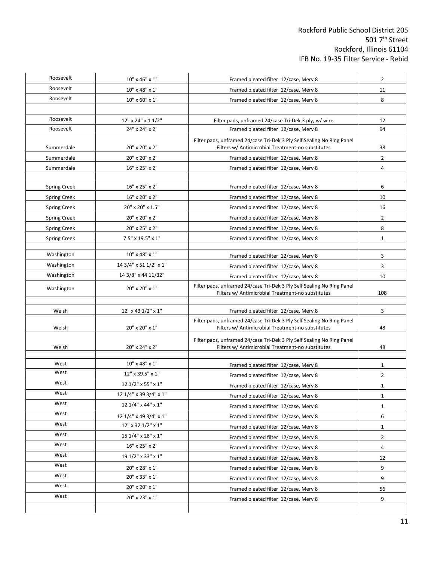| Roosevelt           | 10" x 46" x 1"                       | Framed pleated filter 12/case, Merv 8                                                                                       | $\overline{2}$                 |
|---------------------|--------------------------------------|-----------------------------------------------------------------------------------------------------------------------------|--------------------------------|
| Roosevelt           | $10" \times 48" \times 1"$           | Framed pleated filter 12/case, Merv 8                                                                                       | 11                             |
| Roosevelt           | $10" \times 60" \times 1"$           | Framed pleated filter 12/case, Merv 8                                                                                       | 8                              |
| Roosevelt           | 12" x 24" x 1 1/2"                   | Filter pads, unframed 24/case Tri-Dek 3 ply, w/ wire                                                                        | 12                             |
| Roosevelt           | 24" x 24" x 2"                       | Framed pleated filter 12/case, Merv 8                                                                                       | 94                             |
| Summerdale          | 20" x 20" x 2"                       | Filter pads, unframed 24/case Tri-Dek 3 Ply Self Sealing No Ring Panel<br>Filters w/ Antimicrobial Treatment-no substitutes | 38                             |
| Summerdale          | 20" x 20" x 2"                       | Framed pleated filter 12/case, Merv 8                                                                                       | $\overline{2}$                 |
| Summerdale          | 16" x 25" x 2"                       | Framed pleated filter 12/case, Merv 8                                                                                       | 4                              |
| <b>Spring Creek</b> | 16" x 25" x 2"                       | Framed pleated filter 12/case, Merv 8                                                                                       | 6                              |
| <b>Spring Creek</b> | 16" x 20" x 2"                       | Framed pleated filter 12/case, Merv 8                                                                                       | 10                             |
| <b>Spring Creek</b> | 20" x 20" x 1.5"                     | Framed pleated filter 12/case, Merv 8                                                                                       | 16                             |
| <b>Spring Creek</b> | 20" x 20" x 2"                       | Framed pleated filter 12/case, Merv 8                                                                                       | 2                              |
| <b>Spring Creek</b> | 20" x 25" x 2"                       | Framed pleated filter 12/case, Merv 8                                                                                       | 8                              |
| <b>Spring Creek</b> | 7.5" x 19.5" x 1"                    | Framed pleated filter 12/case, Merv 8                                                                                       | $\mathbf 1$                    |
|                     |                                      |                                                                                                                             |                                |
| Washington          | 10" x 48" x 1"                       | Framed pleated filter 12/case, Merv 8                                                                                       | 3                              |
| Washington          | 14 3/4" x 51 1/2" x 1"               | Framed pleated filter 12/case, Merv 8                                                                                       |                                |
| Washington          | 14 3/8" x 44 11/32"                  | Framed pleated filter 12/case, Merv 8                                                                                       | 10                             |
| Washington          | 20" x 20" x 1"                       | Filter pads, unframed 24/case Tri-Dek 3 Ply Self Sealing No Ring Panel<br>Filters w/ Antimicrobial Treatment-no substitutes | 108                            |
| Welsh               | 12" x 43 1/2" x 1"                   | Framed pleated filter 12/case, Merv 8                                                                                       | 3                              |
| Welsh               | 20" x 20" x 1"                       | Filter pads, unframed 24/case Tri-Dek 3 Ply Self Sealing No Ring Panel<br>Filters w/ Antimicrobial Treatment-no substitutes |                                |
| Welsh               | 20" x 24" x 2"                       | Filter pads, unframed 24/case Tri-Dek 3 Ply Self Sealing No Ring Panel<br>Filters w/ Antimicrobial Treatment-no substitutes | 48                             |
| West                | 10" x 48" x 1"                       | Framed pleated filter 12/case, Merv 8                                                                                       |                                |
| West                | 12" x 39.5" x 1"                     | Framed pleated filter 12/case, Merv 8                                                                                       | $\mathbf{1}$<br>$\overline{2}$ |
| West                | 12 1/2" x 55" x 1"                   | Framed pleated filter 12/case, Merv 8                                                                                       | 1                              |
| West                | 12 1/4" x 39 3/4" x 1"               |                                                                                                                             |                                |
| West                | 12 1/4" x 44" x 1"                   | Framed pleated filter 12/case, Merv 8<br>Framed pleated filter 12/case, Merv 8                                              | 1                              |
| West                | 12 1/4" x 49 3/4" x 1"               | Framed pleated filter 12/case, Merv 8                                                                                       | $\mathbf{1}$<br>6              |
| West                | 12" x 32 1/2" x 1"                   | Framed pleated filter 12/case, Merv 8                                                                                       | $\mathbf{1}$                   |
|                     |                                      |                                                                                                                             |                                |
| West                |                                      |                                                                                                                             |                                |
| West                | 15 1/4" x 28" x 1"                   | Framed pleated filter 12/case, Merv 8                                                                                       | $\overline{2}$                 |
| West                | 16" x 25" x 2"<br>19 1/2" x 33" x 1" | Framed pleated filter 12/case, Merv 8                                                                                       | 4                              |
| West                |                                      | Framed pleated filter 12/case, Merv 8                                                                                       | 12                             |
| West                | $20" \times 28" \times 1"$           | Framed pleated filter 12/case, Merv 8                                                                                       | 9                              |
| West                | 20" x 33" x 1"<br>20" x 20" x 1"     | Framed pleated filter 12/case, Merv 8<br>Framed pleated filter 12/case, Merv 8                                              | 9<br>56                        |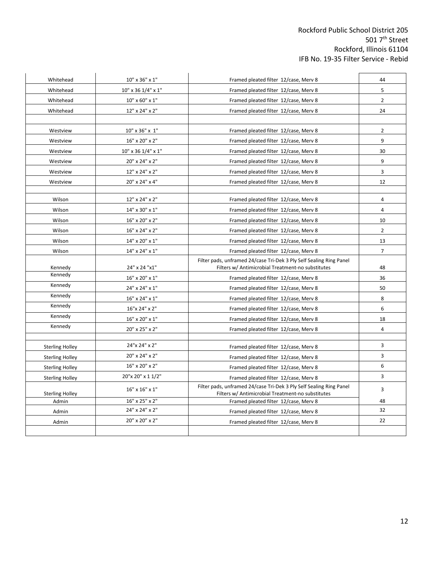| Whitehead              | 10" x 36" x 1"     | Framed pleated filter 12/case, Merv 8                                                                                    | 44                      |
|------------------------|--------------------|--------------------------------------------------------------------------------------------------------------------------|-------------------------|
| Whitehead              | 10" x 36 1/4" x 1" | Framed pleated filter 12/case, Merv 8                                                                                    | 5                       |
| Whitehead              | 10" x 60" x 1"     | Framed pleated filter 12/case, Merv 8                                                                                    | $\overline{2}$          |
| Whitehead              | 12" x 24" x 2"     | Framed pleated filter 12/case, Merv 8                                                                                    | 24                      |
|                        |                    |                                                                                                                          |                         |
| Westview               | 10" x 36" x 1"     | Framed pleated filter 12/case, Merv 8                                                                                    | $\overline{2}$          |
| Westview               | 16" x 20" x 2"     | Framed pleated filter 12/case, Merv 8                                                                                    | 9                       |
| Westview               | 10" x 36 1/4" x 1" | Framed pleated filter 12/case, Merv 8                                                                                    | 30                      |
| Westview               | 20" x 24" x 2"     | Framed pleated filter 12/case, Merv 8                                                                                    | 9                       |
| Westview               | 12" x 24" x 2"     | Framed pleated filter 12/case, Merv 8                                                                                    | 3                       |
| Westview               | 20" x 24" x 4"     | Framed pleated filter 12/case, Merv 8                                                                                    | 12                      |
| Wilson                 | 12" x 24" x 2"     | Framed pleated filter 12/case, Merv 8                                                                                    | 4                       |
| Wilson                 | 14" x 30" x 1"     | Framed pleated filter 12/case, Merv 8                                                                                    | 4                       |
| Wilson                 | 16" x 20" x 2"     | Framed pleated filter 12/case, Merv 8                                                                                    | 10                      |
| Wilson                 | 16" x 24" x 2"     | Framed pleated filter 12/case, Merv 8                                                                                    | $\overline{2}$          |
| Wilson                 | 14" x 20" x 1"     | Framed pleated filter 12/case, Merv 8                                                                                    | 13                      |
| Wilson                 | 14" x 24" x 1"     | Framed pleated filter 12/case, Merv 8                                                                                    | $\overline{7}$          |
| Kennedy                | 24" x 24 "x1"      | Filter pads, unframed 24/case Tri-Dek 3 Ply Self Sealing Ring Panel<br>Filters w/ Antimicrobial Treatment-no substitutes | 48                      |
| Kennedy                | 16" x 20" x 1"     | Framed pleated filter 12/case, Merv 8                                                                                    | 36                      |
| Kennedy                | 24" x 24" x 1"     | Framed pleated filter 12/case, Merv 8                                                                                    | 50                      |
| Kennedy                | 16" x 24" x 1"     | Framed pleated filter 12/case, Merv 8                                                                                    | $\bf 8$                 |
| Kennedy                | 16"x 24" x 2"      | Framed pleated filter 12/case, Merv 8                                                                                    | 6                       |
| Kennedy                | 16" x 20" x 1"     | Framed pleated filter 12/case, Merv 8                                                                                    | 18                      |
| Kennedy                | 20" x 25" x 2"     | Framed pleated filter 12/case, Merv 8                                                                                    | $\overline{\mathbf{4}}$ |
|                        |                    |                                                                                                                          |                         |
| <b>Sterling Holley</b> | 24"x 24" x 2"      | Framed pleated filter 12/case, Merv 8                                                                                    | 3                       |
| <b>Sterling Holley</b> | 20" x 24" x 2"     | Framed pleated filter 12/case, Merv 8                                                                                    | 3                       |
| <b>Sterling Holley</b> | 16" x 20" x 2"     | Framed pleated filter 12/case, Merv 8                                                                                    | 6                       |
| <b>Sterling Holley</b> | 20"x 20" x 1 1/2"  | Framed pleated filter 12/case, Merv 8                                                                                    | 3                       |
| <b>Sterling Holley</b> | 16" x 16" x 1"     | Filter pads, unframed 24/case Tri-Dek 3 Ply Self Sealing Ring Panel<br>Filters w/ Antimicrobial Treatment-no substitutes | 3                       |
| Admin                  | 16" x 25" x 2"     | Framed pleated filter 12/case, Merv 8                                                                                    | 48                      |
| Admin                  | 24" x 24" x 2"     | Framed pleated filter 12/case, Merv 8                                                                                    | 32                      |
| Admin                  | 20" x 20" x 2"     | Framed pleated filter 12/case, Merv 8                                                                                    | 22                      |
|                        |                    |                                                                                                                          |                         |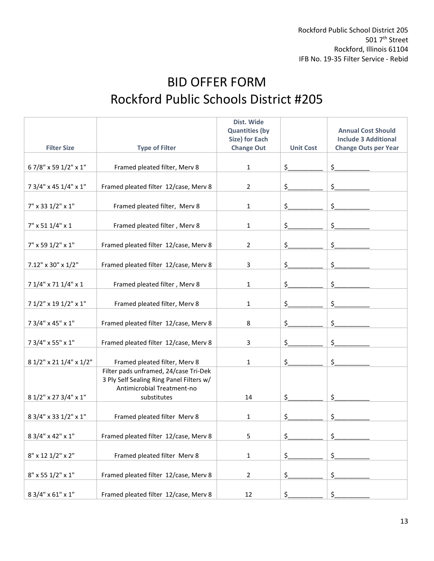# BID OFFER FORM Rockford Public Schools District #205

|                             |                                          | Dist. Wide            |                  |                             |
|-----------------------------|------------------------------------------|-----------------------|------------------|-----------------------------|
|                             |                                          | <b>Quantities (by</b> |                  | <b>Annual Cost Should</b>   |
|                             |                                          | Size) for Each        |                  | <b>Include 3 Additional</b> |
| <b>Filter Size</b>          | <b>Type of Filter</b>                    | <b>Change Out</b>     | <b>Unit Cost</b> | <b>Change Outs per Year</b> |
|                             |                                          |                       |                  |                             |
| 67/8" x 59 1/2" x 1"        | Framed pleated filter, Merv 8            | $\mathbf{1}$          | \$               | \$                          |
|                             |                                          |                       |                  |                             |
| 7 3/4" x 45 1/4" x 1"       | Framed pleated filter 12/case, Merv 8    | $\overline{2}$        | \$.              | \$                          |
|                             |                                          |                       |                  |                             |
| 7" x 33 1/2" x 1"           | Framed pleated filter, Merv 8            | 1                     | \$.              | \$                          |
|                             |                                          |                       |                  |                             |
| $7" \times 511/4" \times 1$ | Framed pleated filter, Merv 8            | 1                     | \$               | \$                          |
|                             |                                          |                       |                  |                             |
| 7" x 59 1/2" x 1"           | Framed pleated filter 12/case, Merv 8    | 2                     | \$.              | \$                          |
|                             |                                          |                       |                  |                             |
| 7.12" x 30" x 1/2"          | Framed pleated filter 12/case, Merv 8    | 3                     | \$               | \$                          |
|                             |                                          |                       |                  |                             |
| 7 1/4" x 71 1/4" x 1        |                                          |                       |                  | \$                          |
|                             | Framed pleated filter, Merv 8            | 1                     | \$.              |                             |
|                             |                                          |                       |                  |                             |
| 7 1/2" x 19 1/2" x 1"       | Framed pleated filter, Merv 8            | 1                     | \$               | \$                          |
|                             |                                          |                       |                  |                             |
| 7 3/4" x 45" x 1"           | Framed pleated filter 12/case, Merv 8    | 8                     | \$.              | \$                          |
|                             |                                          |                       |                  |                             |
| 7 3/4" x 55" x 1"           | Framed pleated filter 12/case, Merv 8    | 3                     | \$.              | \$                          |
|                             |                                          |                       |                  |                             |
| 8 1/2" x 21 1/4" x 1/2"     | Framed pleated filter, Merv 8            | 1                     | \$               | \$                          |
|                             | Filter pads unframed, 24/case Tri-Dek    |                       |                  |                             |
|                             | 3 Ply Self Sealing Ring Panel Filters w/ |                       |                  |                             |
|                             | Antimicrobial Treatment-no               |                       |                  |                             |
| 8 1/2" x 27 3/4" x 1"       | substitutes                              | 14                    | \$               | \$                          |
|                             |                                          |                       |                  |                             |
| 8 3/4" x 33 1/2" x 1"       | Framed pleated filter Merv 8             | 1                     | \$.              | \$                          |
|                             |                                          |                       |                  |                             |
| 8 3/4" x 42" x 1"           | Framed pleated filter 12/case, Merv 8    | 5                     | Ç.               | Ç.                          |
|                             |                                          |                       |                  |                             |
| 8" x 12 1/2" x 2"           | Framed pleated filter Merv 8             | $\mathbf{1}$          | \$_              | $\mathsf{S}_1$              |
|                             |                                          |                       |                  |                             |
| 8" x 55 1/2" x 1"           | Framed pleated filter 12/case, Merv 8    | $\overline{2}$        | \$_              | $\hat{\mathcal{L}}$         |
|                             |                                          |                       |                  |                             |
| 8 3/4" x 61" x 1"           | Framed pleated filter 12/case, Merv 8    | 12                    | \$               | \$                          |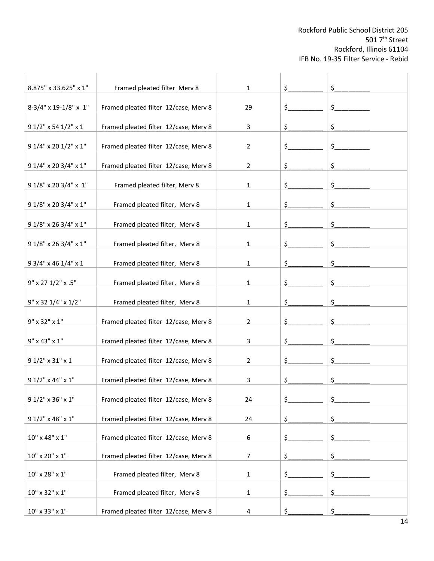| 8.875" x 33.625" x 1"            | Framed pleated filter Merv 8          | 1  | \$      | \$            |
|----------------------------------|---------------------------------------|----|---------|---------------|
| 8-3/4" x 19-1/8" x 1"            | Framed pleated filter 12/case, Merv 8 | 29 | \$      | \$            |
| 9 1/2" x 54 1/2" x 1             | Framed pleated filter 12/case, Merv 8 | 3  | \$.     | \$            |
| 9 1/4" x 20 1/2" x 1"            | Framed pleated filter 12/case, Merv 8 | 2  | \$      | $\frac{1}{2}$ |
| 9 1/4" x 20 3/4" x 1"            | Framed pleated filter 12/case, Merv 8 | 2  | \$.     | \$            |
|                                  |                                       |    |         |               |
| 9 1/8" x 20 3/4" x 1"            | Framed pleated filter, Merv 8         | 1  | \$.     | \$            |
| 9 1/8" x 20 3/4" x 1"            | Framed pleated filter, Merv 8         | 1  | \$      | $\frac{1}{2}$ |
| 9 1/8" x 26 3/4" x 1"            | Framed pleated filter, Merv 8         | 1  | \$      | \$            |
| 9 1/8" x 26 3/4" x 1"            | Framed pleated filter, Merv 8         | 1  | \$      | \$            |
| 9 3/4" x 46 1/4" x 1             | Framed pleated filter, Merv 8         | 1  | \$      | \$            |
| 9" x 27 1/2" x .5"               | Framed pleated filter, Merv 8         | 1  | \$      | \$            |
| 9" x 32 1/4" x 1/2"              | Framed pleated filter, Merv 8         | 1  | \$      | \$            |
| 9" x 32" x 1"                    | Framed pleated filter 12/case, Merv 8 | 2  | \$      | \$            |
| $9" \times 43" \times 1"$        | Framed pleated filter 12/case, Merv 8 | 3  | \$.     | \$            |
| 9 1/2" x 31" x 1                 | Framed pleated filter 12/case, Merv 8 | 2  | \$      | \$            |
| 9 1/2" x 44" x 1"                | Framed pleated filter 12/case, Merv 8 | 3  | \$.     | \$            |
| 9 1/2" x 36" x 1"                | Framed pleated filter 12/case, Merv 8 | 24 | \$      | \$            |
| 9 1/2" x 48" x 1"                | Framed pleated filter 12/case, Merv 8 | 24 | \$.     | \$            |
| $10^{\rm o}$ x 48" x $1^{\rm o}$ | Framed pleated filter 12/case, Merv 8 | 6  | \$.     | \$            |
| $10" \times 20" \times 1"$       | Framed pleated filter 12/case, Merv 8 | 7  | $\zeta$ | \$.           |
| $10" \times 28" \times 1"$       | Framed pleated filter, Merv 8         | 1  | \$      | $\frac{1}{2}$ |
| $10" \times 32" \times 1"$       | Framed pleated filter, Merv 8         | 1  | \$.     | \$            |
| $10" \times 33" \times 1"$       | Framed pleated filter 12/case, Merv 8 | 4  | \$      | \$            |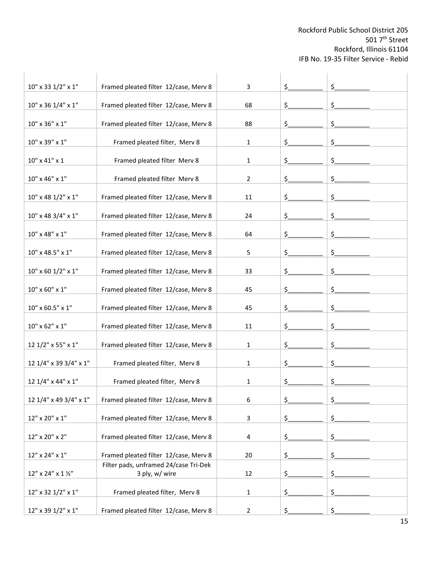| 10" x 33 1/2" x 1"               | Framed pleated filter 12/case, Merv 8                   | 3              | \$  | \$            |
|----------------------------------|---------------------------------------------------------|----------------|-----|---------------|
| 10" x 36 1/4" x 1"               | Framed pleated filter 12/case, Merv 8                   | 68             | \$  | $\frac{1}{2}$ |
| 10" x 36" x 1"                   | Framed pleated filter 12/case, Merv 8                   | 88             | \$  | \$            |
| 10" x 39" x 1"                   | Framed pleated filter, Merv 8                           | 1              | \$. | \$            |
| $10"$ x 41" x 1                  | Framed pleated filter Merv 8                            | 1              | \$. | \$            |
| 10" x 46" x 1"                   | Framed pleated filter Merv 8                            | 2              | \$. | \$            |
| 10" x 48 1/2" x 1"               | Framed pleated filter 12/case, Merv 8                   | 11             | \$_ | $\frac{1}{2}$ |
| 10" x 48 3/4" x 1"               | Framed pleated filter 12/case, Merv 8                   | 24             | \$  | \$            |
| $10" \times 48" \times 1"$       | Framed pleated filter 12/case, Merv 8                   | 64             | \$  | \$            |
| 10" x 48.5" x 1"                 | Framed pleated filter 12/case, Merv 8                   | 5              | \$  | \$            |
| $10" \times 60$ 1/2" $\times$ 1" | Framed pleated filter 12/case, Merv 8                   | 33             | \$  | \$            |
| 10" x 60" x 1"                   | Framed pleated filter 12/case, Merv 8                   | 45             | \$. | \$            |
| $10" \times 60.5" \times 1"$     | Framed pleated filter 12/case, Merv 8                   | 45             | \$_ | $\frac{1}{2}$ |
| 10" x 62" x 1"                   | Framed pleated filter 12/case, Merv 8                   | 11             | \$  | \$            |
| 12 1/2" x 55" x 1"               | Framed pleated filter 12/case, Merv 8                   | 1              | \$  | \$            |
| 12 1/4" x 39 3/4" x 1"           | Framed pleated filter, Merv 8                           | 1              | \$. | \$            |
| 12 1/4" x 44" x 1"               | Framed pleated filter, Merv 8                           | 1              | \$. | \$            |
| 12 1/4" x 49 3/4" x 1"           | Framed pleated filter 12/case, Merv 8                   | 6              | \$  | \$            |
| 12" x 20" x 1"                   | Framed pleated filter 12/case, Merv 8                   | 3              | \$_ | $\frac{1}{2}$ |
| 12" x 20" x 2"                   | Framed pleated filter 12/case, Merv 8                   | 4              | \$. | \$            |
| 12" x 24" x 1"                   | Framed pleated filter 12/case, Merv 8                   | 20             | \$. | \$            |
| $12''$ x 24" x 1 1/2"            | Filter pads, unframed 24/case Tri-Dek<br>3 ply, w/ wire | 12             | \$_ | \$            |
| 12" x 32 1/2" x 1"               | Framed pleated filter, Merv 8                           | 1              | \$_ | $\frac{1}{2}$ |
| 12" x 39 1/2" x 1"               | Framed pleated filter 12/case, Merv 8                   | $\overline{2}$ | \$  | \$            |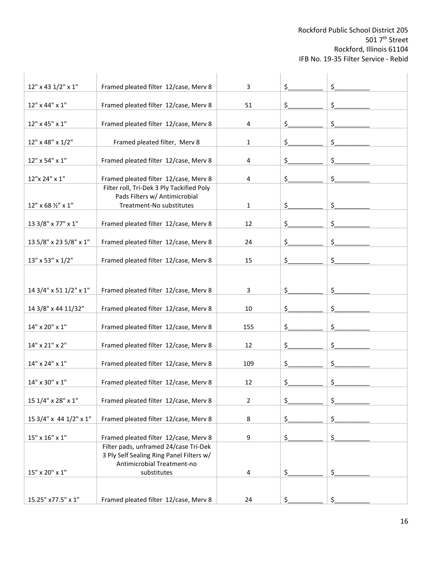| 12" x 43 1/2" x 1"                  | Framed pleated filter 12/case, Merv 8                                                                               | 3   | \$  | \$                  |  |
|-------------------------------------|---------------------------------------------------------------------------------------------------------------------|-----|-----|---------------------|--|
| 12" x 44" x 1"                      | Framed pleated filter 12/case, Merv 8                                                                               | 51  | \$  | $\hat{\mathcal{L}}$ |  |
| 12" x 45" x 1"                      | Framed pleated filter 12/case, Merv 8                                                                               | 4   | \$. | \$                  |  |
| 12" x 48" x 1/2"                    | Framed pleated filter, Merv 8                                                                                       | 1   | \$. | \$                  |  |
| 12" x 54" x 1"                      | Framed pleated filter 12/case, Merv 8                                                                               | 4   | \$. | \$                  |  |
|                                     |                                                                                                                     |     |     |                     |  |
| 12"x 24" x 1"                       | Framed pleated filter 12/case, Merv 8<br>Filter roll, Tri-Dek 3 Ply Tackified Poly<br>Pads Filters w/ Antimicrobial | 4   | \$. | \$                  |  |
| $12''$ x 68 $\frac{1}{2}''$ x $1''$ | Treatment-No substitutes                                                                                            | 1   | \$_ | \$                  |  |
| 13 3/8" x 77" x 1"                  | Framed pleated filter 12/case, Merv 8                                                                               | 12  | \$_ | \$                  |  |
| 13 5/8" x 23 5/8" x 1"              | Framed pleated filter 12/case, Merv 8                                                                               | 24  | \$  | \$                  |  |
| 13" x 53" x 1/2"                    | Framed pleated filter 12/case, Merv 8                                                                               | 15  | \$  | \$                  |  |
|                                     |                                                                                                                     |     |     |                     |  |
| 14 3/4" x 51 1/2" x 1"              | Framed pleated filter 12/case, Merv 8                                                                               | 3   | \$  | \$                  |  |
| 14 3/8" x 44 11/32"                 | Framed pleated filter 12/case, Merv 8                                                                               | 10  | \$  | $\frac{1}{2}$       |  |
| 14" x 20" x 1"                      | Framed pleated filter 12/case, Merv 8                                                                               | 155 | \$  | \$                  |  |
| 14" x 21" x 2"                      | Framed pleated filter 12/case, Merv 8                                                                               | 12  | \$. | \$                  |  |
| 14" x 24" x 1"                      | Framed pleated filter 12/case, Merv 8                                                                               | 109 | \$. | \$                  |  |
| 14" x 30" x 1"                      | Framed pleated filter 12/case, Merv 8                                                                               | 12  | \$. | \$                  |  |
| 15 1/4" x 28" x 1"                  | Framed pleated filter 12/case, Merv 8                                                                               | 2   | \$  | \$                  |  |
| 15 3/4" x 44 1/2" x 1"              | Framed pleated filter 12/case, Merv 8                                                                               | 8   | \$  | \$                  |  |
| $15" \times 16" \times 1"$          | Framed pleated filter 12/case, Merv 8                                                                               | 9   | \$. | \$                  |  |
|                                     | Filter pads, unframed 24/case Tri-Dek<br>3 Ply Self Sealing Ring Panel Filters w/<br>Antimicrobial Treatment-no     |     |     |                     |  |
| 15" x 20" x 1"                      | substitutes                                                                                                         | 4   | \$. | \$                  |  |
| 15.25" x77.5" x 1"                  | Framed pleated filter 12/case, Merv 8                                                                               | 24  |     |                     |  |
|                                     |                                                                                                                     |     |     |                     |  |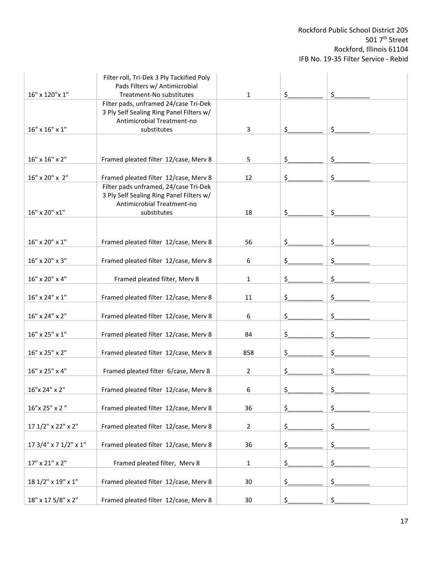|                            | Filter roll, Tri-Dek 3 Ply Tackified Poly<br>Pads Filters w/ Antimicrobial                                      |                |                                      |                     |
|----------------------------|-----------------------------------------------------------------------------------------------------------------|----------------|--------------------------------------|---------------------|
| 16" x 120" x 1"            | Treatment-No substitutes                                                                                        | $\mathbf{1}$   | $\mathsf{S}_{\scriptscriptstyle{-}}$ | \$                  |
|                            | Filter pads, unframed 24/case Tri-Dek<br>3 Ply Self Sealing Ring Panel Filters w/<br>Antimicrobial Treatment-no |                |                                      |                     |
| $16" \times 16" \times 1"$ | substitutes                                                                                                     | 3              | \$.                                  | \$                  |
|                            |                                                                                                                 |                |                                      |                     |
| 16" x 16" x 2"             | Framed pleated filter 12/case, Merv 8                                                                           | 5              | \$.                                  | \$.                 |
| 16" x 20" x 2"             | Framed pleated filter 12/case, Merv 8                                                                           | 12             | \$                                   | \$.                 |
|                            | Filter pads unframed, 24/case Tri-Dek<br>3 Ply Self Sealing Ring Panel Filters w/<br>Antimicrobial Treatment-no |                |                                      |                     |
| 16" x 20" x1"              | substitutes                                                                                                     | 18             | \$.                                  | \$                  |
|                            |                                                                                                                 |                |                                      |                     |
| 16" x 20" x 1"             | Framed pleated filter 12/case, Merv 8                                                                           | 56             | \$.                                  | \$                  |
| 16" x 20" x 3"             | Framed pleated filter 12/case, Merv 8                                                                           | 6              | \$.                                  | \$.                 |
| 16" x 20" x 4"             | Framed pleated filter, Merv 8                                                                                   | 1              | \$                                   | $\frac{1}{2}$       |
| 16" x 24" x 1"             | Framed pleated filter 12/case, Merv 8                                                                           | 11             | \$.                                  | \$                  |
| 16" x 24" x 2"             | Framed pleated filter 12/case, Merv 8                                                                           | 6              | \$.                                  | \$                  |
| $16" \times 25" \times 1"$ | Framed pleated filter 12/case, Merv 8                                                                           | 84             | \$.                                  | \$                  |
| 16" x 25" x 2"             | Framed pleated filter 12/case, Merv 8                                                                           | 858            | \$                                   | \$                  |
| 16" x 25" x 4"             | Framed pleated filter 6/case, Merv 8                                                                            | $\overline{2}$ | \$                                   | \$.                 |
| 16"x 24" x 2"              | Framed pleated filter 12/case, Merv 8                                                                           | 6              | \$                                   | ς                   |
| 16"x 25" x 2"              | Framed pleated filter 12/case, Merv 8                                                                           | 36             | \$                                   | $\hat{\mathcal{L}}$ |
| 17 1/2" x 22" x 2"         | Framed pleated filter 12/case, Merv 8                                                                           | $\overline{2}$ | \$                                   | \$                  |
| 17 3/4" x 7 1/2" x 1"      | Framed pleated filter 12/case, Merv 8                                                                           | 36             | \$                                   | $\frac{1}{2}$       |
| 17" x 21" x 2"             | Framed pleated filter, Merv 8                                                                                   | $\mathbf{1}$   | \$                                   | $\hat{\mathcal{L}}$ |
| 18 1/2" x 19" x 1"         | Framed pleated filter 12/case, Merv 8                                                                           | 30             | \$.                                  | $\zeta$             |
| 18" x 17 5/8" x 2"         | Framed pleated filter 12/case, Merv 8                                                                           | 30             | Ś.                                   | \$                  |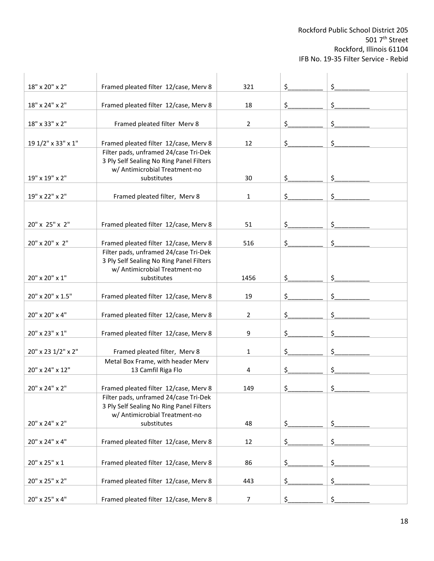| 18" x 20" x 2"     | Framed pleated filter 12/case, Merv 8                                                                              | 321            | \$                                   | \$                  |  |
|--------------------|--------------------------------------------------------------------------------------------------------------------|----------------|--------------------------------------|---------------------|--|
| 18" x 24" x 2"     | Framed pleated filter 12/case, Merv 8                                                                              | 18             | \$.                                  | \$                  |  |
| 18" x 33" x 2"     | Framed pleated filter Merv 8                                                                                       | $\overline{2}$ | \$                                   | \$                  |  |
| 19 1/2" x 33" x 1" | Framed pleated filter 12/case, Merv 8                                                                              | 12             | \$                                   | \$                  |  |
|                    | Filter pads, unframed 24/case Tri-Dek<br>3 Ply Self Sealing No Ring Panel Filters<br>w/ Antimicrobial Treatment-no |                |                                      |                     |  |
| 19" x 19" x 2"     | substitutes                                                                                                        | 30             | \$                                   | \$                  |  |
| 19" x 22" x 2"     | Framed pleated filter, Merv 8                                                                                      | 1              | \$                                   | \$                  |  |
|                    |                                                                                                                    |                |                                      |                     |  |
| 20" x 25" x 2"     | Framed pleated filter 12/case, Merv 8                                                                              | 51             | \$                                   | \$                  |  |
| 20" x 20" x 2"     | Framed pleated filter 12/case, Merv 8                                                                              | 516            | \$                                   | \$                  |  |
|                    | Filter pads, unframed 24/case Tri-Dek<br>3 Ply Self Sealing No Ring Panel Filters<br>w/ Antimicrobial Treatment-no |                |                                      |                     |  |
| 20" x 20" x 1"     | substitutes                                                                                                        | 1456           | \$.                                  | \$                  |  |
| 20" x 20" x 1.5"   | Framed pleated filter 12/case, Merv 8                                                                              | 19             | \$                                   | \$                  |  |
| 20" x 20" x 4"     | Framed pleated filter 12/case, Merv 8                                                                              | 2              | \$                                   | \$                  |  |
| 20" x 23" x 1"     | Framed pleated filter 12/case, Merv 8                                                                              | 9              | \$                                   | \$                  |  |
| 20" x 23 1/2" x 2" | Framed pleated filter, Merv 8                                                                                      | 1              | \$                                   | \$                  |  |
| 20" x 24" x 12"    | Metal Box Frame, with header Merv<br>13 Camfil Riga Flo                                                            | 4              | \$                                   | \$                  |  |
| 20" x 24" x 2"     | Framed pleated filter 12/case, Merv 8                                                                              | 149            | $\mathsf{S}_{\scriptscriptstyle{-}}$ | $\zeta$             |  |
|                    | Filter pads, unframed 24/case Tri-Dek<br>3 Ply Self Sealing No Ring Panel Filters<br>w/ Antimicrobial Treatment-no |                |                                      |                     |  |
| 20" x 24" x 2"     | substitutes                                                                                                        | 48             | \$                                   | \$                  |  |
| 20" x 24" x 4"     | Framed pleated filter 12/case, Merv 8                                                                              | 12             | \$.                                  | \$                  |  |
| 20" x 25" x 1      | Framed pleated filter 12/case, Merv 8                                                                              | 86             | \$.                                  | \$.                 |  |
| 20" x 25" x 2"     | Framed pleated filter 12/case, Merv 8                                                                              | 443            | \$_                                  | $\hat{\mathcal{L}}$ |  |
| 20" x 25" x 4"     | Framed pleated filter 12/case, Merv 8                                                                              | 7              | \$                                   | \$                  |  |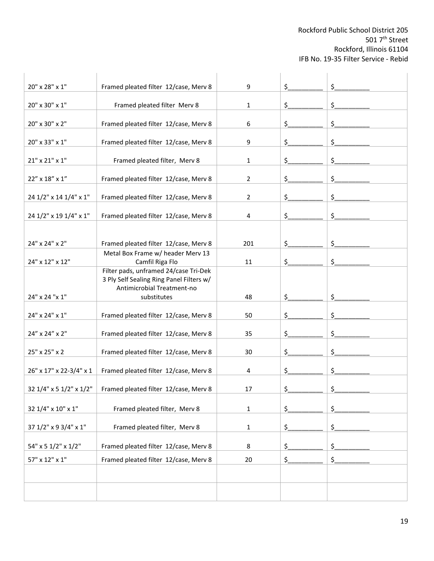| 20" x 28" x 1"             | Framed pleated filter 12/case, Merv 8                                                                           | 9              | \$  | \$ |
|----------------------------|-----------------------------------------------------------------------------------------------------------------|----------------|-----|----|
| $20" \times 30" \times 1"$ | Framed pleated filter Merv 8                                                                                    | 1              | \$  | \$ |
| 20" x 30" x 2"             | Framed pleated filter 12/case, Merv 8                                                                           | 6              | \$  | \$ |
| 20" x 33" x 1"             | Framed pleated filter 12/case, Merv 8                                                                           | 9              | \$  | \$ |
| $21"$ x $21"$ x $1"$       | Framed pleated filter, Merv 8                                                                                   | 1              | \$  | \$ |
| 22" x 18" x 1"             | Framed pleated filter 12/case, Merv 8                                                                           | $\overline{2}$ | \$  | \$ |
|                            |                                                                                                                 | $\overline{2}$ |     |    |
| 24 1/2" x 14 1/4" x 1"     | Framed pleated filter 12/case, Merv 8                                                                           |                | \$  | \$ |
| 24 1/2" x 19 1/4" x 1"     | Framed pleated filter 12/case, Merv 8                                                                           | 4              | \$  | \$ |
| 24" x 24" x 2"             | Framed pleated filter 12/case, Merv 8                                                                           | 201            | \$  | \$ |
| 24" x 12" x 12"            | Metal Box Frame w/ header Merv 13<br>Camfil Riga Flo                                                            | 11             | \$. | \$ |
|                            | Filter pads, unframed 24/case Tri-Dek<br>3 Ply Self Sealing Ring Panel Filters w/<br>Antimicrobial Treatment-no |                |     |    |
| 24" x 24 "x 1"             | substitutes                                                                                                     | 48             | \$  | \$ |
| 24" x 24" x 1"             | Framed pleated filter 12/case, Merv 8                                                                           | 50             | \$  | \$ |
| 24" x 24" x 2"             | Framed pleated filter 12/case, Merv 8                                                                           | 35             | \$  | \$ |
| 25" x 25" x 2              | Framed pleated filter 12/case, Merv 8                                                                           | 30             | \$  | \$ |
| 26" x 17" x 22-3/4" x 1    | Framed pleated filter 12/case, Merv 8                                                                           | 4              | \$  | \$ |
| 32 1/4" x 5 1/2" x 1/2"    | Framed pleated filter 12/case, Merv 8                                                                           | 17             | \$. | Ş. |
| 32 1/4" x 10" x 1"         | Framed pleated filter, Merv 8                                                                                   | $\mathbf 1$    | \$  | \$ |
| 37 1/2" x 9 3/4" x 1"      | Framed pleated filter, Merv 8                                                                                   | $\mathbf{1}$   | \$_ | \$ |
| 54" x 5 1/2" x 1/2"        | Framed pleated filter 12/case, Merv 8                                                                           | 8              | \$  | \$ |
| $57" \times 12" \times 1"$ | Framed pleated filter 12/case, Merv 8                                                                           | 20             | \$. | \$ |
|                            |                                                                                                                 |                |     |    |
|                            |                                                                                                                 |                |     |    |
|                            |                                                                                                                 |                |     |    |